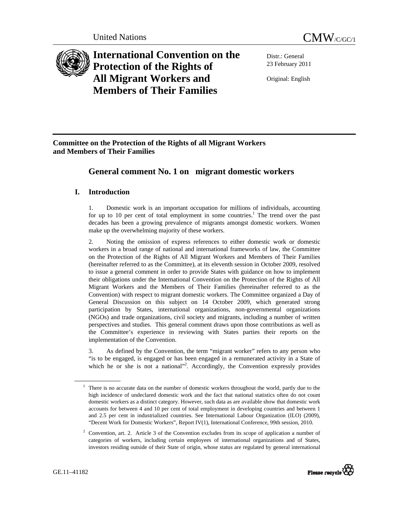

**International Convention on the Protection of the Rights of All Migrant Workers and Members of Their Families**

Distr.: General 23 February 2011

Original: English

**Committee on the Protection of the Rights of all Migrant Workers and Members of Their Families** 

# **General comment No. 1 on migrant domestic workers**

## **I. Introduction**

1. Domestic work is an important occupation for millions of individuals, accounting for up to 10 per cent of total employment in some countries.<sup>1</sup> The trend over the past decades has been a growing prevalence of migrants amongst domestic workers. Women make up the overwhelming majority of these workers.

2. Noting the omission of express references to either domestic work or domestic workers in a broad range of national and international frameworks of law, the Committee on the Protection of the Rights of All Migrant Workers and Members of Their Families (hereinafter referred to as the Committee), at its eleventh session in October 2009, resolved to issue a general comment in order to provide States with guidance on how to implement their obligations under the International Convention on the Protection of the Rights of All Migrant Workers and the Members of Their Families (hereinafter referred to as the Convention) with respect to migrant domestic workers. The Committee organized a Day of General Discussion on this subject on 14 October 2009, which generated strong participation by States, international organizations, non-governmental organizations (NGOs) and trade organizations, civil society and migrants, including a number of written perspectives and studies. This general comment draws upon those contributions as well as the Committee's experience in reviewing with States parties their reports on the implementation of the Convention.

3. As defined by the Convention, the term "migrant worker" refers to any person who "is to be engaged, is engaged or has been engaged in a remunerated activity in a State of which he or she is not a national"<sup>2</sup>. Accordingly, the Convention expressly provides

<sup>&</sup>lt;sup>2</sup> Convention, art. 2. Article 3 of the Convention excludes from its scope of application a number of categories of workers, including certain employees of international organizations and of States, investors residing outside of their State of origin, whose status are regulated by general international



<sup>&</sup>lt;sup>1</sup> There is no accurate data on the number of domestic workers throughout the world, partly due to the high incidence of undeclared domestic work and the fact that national statistics often do not count domestic workers as a distinct category. However, such data as are available show that domestic work accounts for between 4 and 10 per cent of total employment in developing countries and between 1 and 2.5 per cent in industrialized countries. See International Labour Organization (ILO) (2009), "Decent Work for Domestic Workers", Report IV(1), International Conference, 99th session, 2010.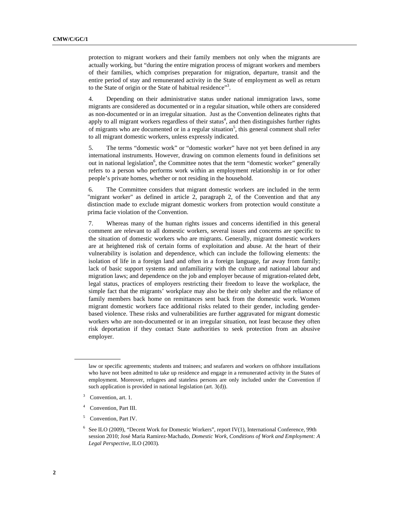protection to migrant workers and their family members not only when the migrants are actually working, but "during the entire migration process of migrant workers and members of their families, which comprises preparation for migration, departure, transit and the entire period of stay and remunerated activity in the State of employment as well as return to the State of origin or the State of habitual residence"<sup>3</sup>.

4. Depending on their administrative status under national immigration laws, some migrants are considered as documented or in a regular situation, while others are considered as non-documented or in an irregular situation. Just as the Convention delineates rights that apply to all migrant workers regardless of their status $4$ , and then distinguishes further rights of migrants who are documented or in a regular situation<sup>5</sup>, this general comment shall refer to all migrant domestic workers, unless expressly indicated.

5. The terms "domestic work" or "domestic worker" have not yet been defined in any international instruments. However, drawing on common elements found in definitions set out in national legislation<sup>6</sup>, the Committee notes that the term "domestic worker" generally refers to a person who performs work within an employment relationship in or for other people's private homes, whether or not residing in the household.

6. The Committee considers that migrant domestic workers are included in the term "migrant worker" as defined in article 2, paragraph 2, of the Convention and that any distinction made to exclude migrant domestic workers from protection would constitute a prima facie violation of the Convention.

7. Whereas many of the human rights issues and concerns identified in this general comment are relevant to all domestic workers, several issues and concerns are specific to the situation of domestic workers who are migrants. Generally, migrant domestic workers are at heightened risk of certain forms of exploitation and abuse. At the heart of their vulnerability is isolation and dependence, which can include the following elements: the isolation of life in a foreign land and often in a foreign language, far away from family; lack of basic support systems and unfamiliarity with the culture and national labour and migration laws; and dependence on the job and employer because of migration-related debt, legal status, practices of employers restricting their freedom to leave the workplace, the simple fact that the migrants' workplace may also be their only shelter and the reliance of family members back home on remittances sent back from the domestic work. Women migrant domestic workers face additional risks related to their gender, including genderbased violence. These risks and vulnerabilities are further aggravated for migrant domestic workers who are non-documented or in an irregular situation, not least because they often risk deportation if they contact State authorities to seek protection from an abusive employer.

5 Convention, Part IV.

law or specific agreements; students and trainees; and seafarers and workers on offshore installations who have not been admitted to take up residence and engage in a remunerated activity in the States of employment. Moreover, refugees and stateless persons are only included under the Convention if such application is provided in national legislation (art. 3(d)).

<sup>3</sup> Convention, art. 1.

<sup>4</sup> Convention, Part III.

<sup>&</sup>lt;sup>6</sup> See ILO (2009), "Decent Work for Domestic Workers", report IV(1), International Conference, 99th session 2010; José Maria Ramirez-Machado, *Domestic Work, Conditions of Work and Employment: A Legal Perspective,* ILO (2003)*.*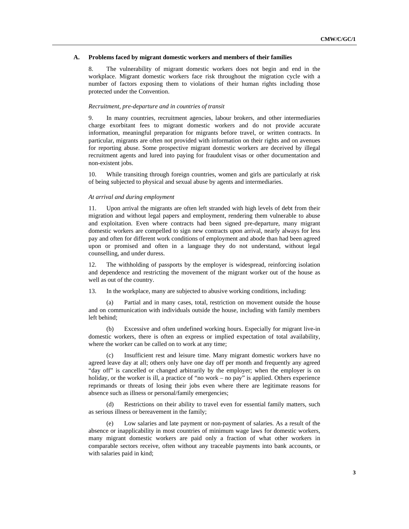#### **A. Problems faced by migrant domestic workers and members of their families**

8. The vulnerability of migrant domestic workers does not begin and end in the workplace. Migrant domestic workers face risk throughout the migration cycle with a number of factors exposing them to violations of their human rights including those protected under the Convention.

#### *Recruitment, pre-departure and in countries of transit*

9. In many countries, recruitment agencies, labour brokers, and other intermediaries charge exorbitant fees to migrant domestic workers and do not provide accurate information, meaningful preparation for migrants before travel, or written contracts. In particular, migrants are often not provided with information on their rights and on avenues for reporting abuse. Some prospective migrant domestic workers are deceived by illegal recruitment agents and lured into paying for fraudulent visas or other documentation and non-existent jobs.

10. While transiting through foreign countries, women and girls are particularly at risk of being subjected to physical and sexual abuse by agents and intermediaries.

#### *At arrival and during employment*

11. Upon arrival the migrants are often left stranded with high levels of debt from their migration and without legal papers and employment, rendering them vulnerable to abuse and exploitation. Even where contracts had been signed pre-departure, many migrant domestic workers are compelled to sign new contracts upon arrival, nearly always for less pay and often for different work conditions of employment and abode than had been agreed upon or promised and often in a language they do not understand, without legal counselling, and under duress.

12. The withholding of passports by the employer is widespread, reinforcing isolation and dependence and restricting the movement of the migrant worker out of the house as well as out of the country.

13. In the workplace, many are subjected to abusive working conditions, including:

(a) Partial and in many cases, total, restriction on movement outside the house and on communication with individuals outside the house, including with family members left behind;

(b) Excessive and often undefined working hours. Especially for migrant live-in domestic workers, there is often an express or implied expectation of total availability, where the worker can be called on to work at any time;

(c) Insufficient rest and leisure time. Many migrant domestic workers have no agreed leave day at all; others only have one day off per month and frequently any agreed "day off" is cancelled or changed arbitrarily by the employer; when the employer is on holiday, or the worker is ill, a practice of "no work – no pay" is applied. Others experience reprimands or threats of losing their jobs even where there are legitimate reasons for absence such as illness or personal/family emergencies;

(d) Restrictions on their ability to travel even for essential family matters, such as serious illness or bereavement in the family;

(e) Low salaries and late payment or non-payment of salaries. As a result of the absence or inapplicability in most countries of minimum wage laws for domestic workers, many migrant domestic workers are paid only a fraction of what other workers in comparable sectors receive, often without any traceable payments into bank accounts, or with salaries paid in kind;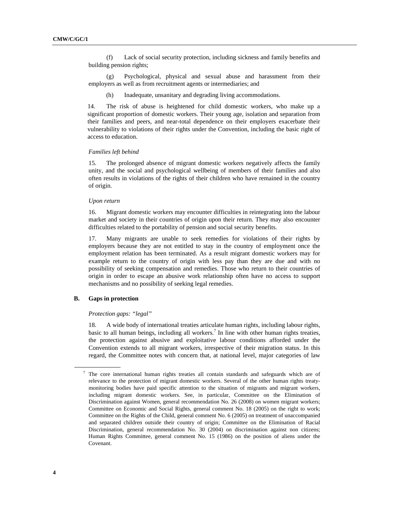(f) Lack of social security protection, including sickness and family benefits and building pension rights;

(g) Psychological, physical and sexual abuse and harassment from their employers as well as from recruitment agents or intermediaries; and

(h) Inadequate, unsanitary and degrading living accommodations.

14. The risk of abuse is heightened for child domestic workers, who make up a significant proportion of domestic workers. Their young age, isolation and separation from their families and peers, and near-total dependence on their employers exacerbate their vulnerability to violations of their rights under the Convention, including the basic right of access to education.

## *Families left behind*

15. The prolonged absence of migrant domestic workers negatively affects the family unity, and the social and psychological wellbeing of members of their families and also often results in violations of the rights of their children who have remained in the country of origin.

#### *Upon return*

16. Migrant domestic workers may encounter difficulties in reintegrating into the labour market and society in their countries of origin upon their return. They may also encounter difficulties related to the portability of pension and social security benefits.

17. Many migrants are unable to seek remedies for violations of their rights by employers because they are not entitled to stay in the country of employment once the employment relation has been terminated. As a result migrant domestic workers may for example return to the country of origin with less pay than they are due and with no possibility of seeking compensation and remedies. Those who return to their countries of origin in order to escape an abusive work relationship often have no access to support mechanisms and no possibility of seeking legal remedies.

## **B. Gaps in protection**

#### *Protection gaps: "legal"*

18. A wide body of international treaties articulate human rights, including labour rights, basic to all human beings, including all workers.<sup>7</sup> In line with other human rights treaties, the protection against abusive and exploitative labour conditions afforded under the Convention extends to all migrant workers, irrespective of their migration status. In this regard, the Committee notes with concern that, at national level, major categories of law

<sup>&</sup>lt;sup>7</sup> The core international human rights treaties all contain standards and safeguards which are of relevance to the protection of migrant domestic workers. Several of the other human rights treatymonitoring bodies have paid specific attention to the situation of migrants and migrant workers, including migrant domestic workers. See, in particular, Committee on the Elimination of Discrimination against Women, general recommendation No. 26 (2008) on women migrant workers; Committee on Economic and Social Rights, general comment No. 18 (2005) on the right to work; Committee on the Rights of the Child, general comment No. 6 (2005) on treatment of unaccompanied and separated children outside their country of origin; Committee on the Elimination of Racial Discrimination, general recommendation No. 30 (2004) on discrimination against non citizens; Human Rights Committee, general comment No. 15 (1986) on the position of aliens under the Covenant.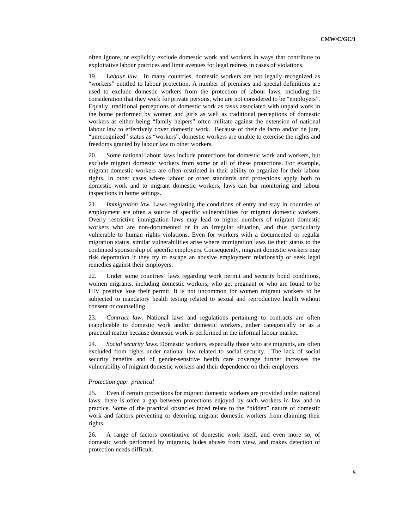often ignore, or explicitly exclude domestic work and workers in ways that contribute to exploitative labour practices and limit avenues for legal redress in cases of violations.

19. *Labour law.* In many countries, domestic workers are not legally recognized as "workers" entitled to labour protection. A number of premises and special definitions are used to exclude domestic workers from the protection of labour laws, including the consideration that they work for private persons, who are not considered to be "employers". Equally, traditional perceptions of domestic work as tasks associated with unpaid work in the home performed by women and girls as well as traditional perceptions of domestic workers as either being "family helpers" often militate against the extension of national labour law to effectively cover domestic work. Because of their de facto and/or de jure, "unrecognized" status as "workers", domestic workers are unable to exercise the rights and freedoms granted by labour law to other workers.

20. Some national labour laws include protections for domestic work and workers, but exclude migrant domestic workers from some or all of these protections. For example, migrant domestic workers are often restricted in their ability to organize for their labour rights. In other cases where labour or other standards and protections apply both to domestic work and to migrant domestic workers, laws can bar monitoring and labour inspections in home settings.

21. *Immigration law.* Laws regulating the conditions of entry and stay in countries of employment are often a source of specific vulnerabilities for migrant domestic workers. Overly restrictive immigration laws may lead to higher numbers of migrant domestic workers who are non-documented or in an irregular situation, and thus particularly vulnerable to human rights violations. Even for workers with a documented or regular migration status, similar vulnerabilities arise where immigration laws tie their status to the continued sponsorship of specific employers. Consequently, migrant domestic workers may risk deportation if they try to escape an abusive employment relationship or seek legal remedies against their employers.

22. Under some countries' laws regarding work permit and security bond conditions, women migrants, including domestic workers, who get pregnant or who are found to be HIV positive lose their permit. It is not uncommon for women migrant workers to be subjected to mandatory health testing related to sexual and reproductive health without consent or counselling.

23. *Contract law.* National laws and regulations pertaining to contracts are often inapplicable to domestic work and/or domestic workers, either categorically or as a practical matter because domestic work is performed in the informal labour market.

24. *Social security laws.* Domestic workers, especially those who are migrants, are often excluded from rights under national law related to social security. The lack of social security benefits and of gender-sensitive health care coverage further increases the vulnerability of migrant domestic workers and their dependence on their employers.

#### *Protection gap: practical*

25. Even if certain protections for migrant domestic workers are provided under national laws, there is often a gap between protections enjoyed by such workers in law and in practice. Some of the practical obstacles faced relate to the "hidden" nature of domestic work and factors preventing or deterring migrant domestic workers from claiming their rights.

26. A range of factors constitutive of domestic work itself, and even more so, of domestic work performed by migrants, hides abuses from view, and makes detection of protection needs difficult.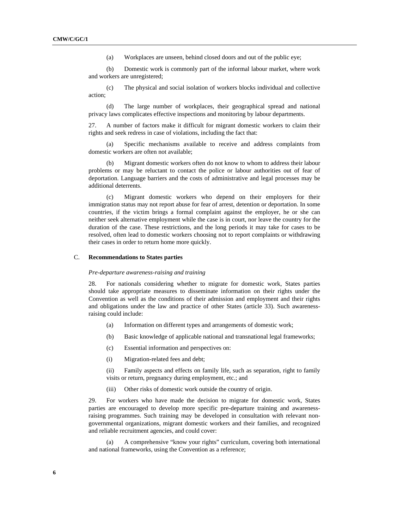(a) Workplaces are unseen, behind closed doors and out of the public eye;

(b) Domestic work is commonly part of the informal labour market, where work and workers are unregistered;

(c) The physical and social isolation of workers blocks individual and collective action;

(d) The large number of workplaces, their geographical spread and national privacy laws complicates effective inspections and monitoring by labour departments.

27. A number of factors make it difficult for migrant domestic workers to claim their rights and seek redress in case of violations, including the fact that:

(a) Specific mechanisms available to receive and address complaints from domestic workers are often not available;

(b) Migrant domestic workers often do not know to whom to address their labour problems or may be reluctant to contact the police or labour authorities out of fear of deportation. Language barriers and the costs of administrative and legal processes may be additional deterrents.

Migrant domestic workers who depend on their employers for their immigration status may not report abuse for fear of arrest, detention or deportation. In some countries, if the victim brings a formal complaint against the employer, he or she can neither seek alternative employment while the case is in court, nor leave the country for the duration of the case. These restrictions, and the long periods it may take for cases to be resolved, often lead to domestic workers choosing not to report complaints or withdrawing their cases in order to return home more quickly.

## C. **Recommendations to States parties**

#### *Pre-departure awareness-raising and training*

28. For nationals considering whether to migrate for domestic work, States parties should take appropriate measures to disseminate information on their rights under the Convention as well as the conditions of their admission and employment and their rights and obligations under the law and practice of other States (article 33). Such awarenessraising could include:

- (a) Information on different types and arrangements of domestic work;
- (b) Basic knowledge of applicable national and transnational legal frameworks;
- (c) Essential information and perspectives on:
- (i) Migration-related fees and debt;

(ii) Family aspects and effects on family life, such as separation, right to family visits or return, pregnancy during employment, etc.; and

(iii) Other risks of domestic work outside the country of origin.

29. For workers who have made the decision to migrate for domestic work, States parties are encouraged to develop more specific pre-departure training and awarenessraising programmes. Such training may be developed in consultation with relevant nongovernmental organizations, migrant domestic workers and their families, and recognized and reliable recruitment agencies, and could cover:

(a) A comprehensive "know your rights" curriculum, covering both international and national frameworks, using the Convention as a reference;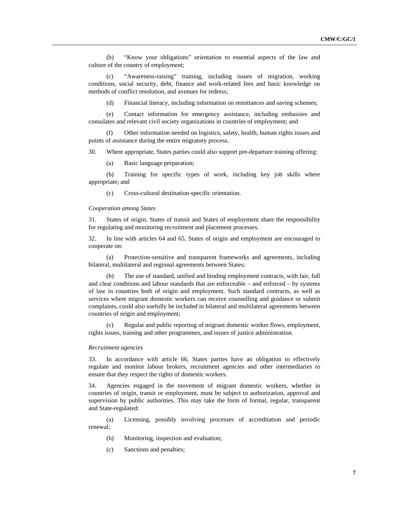(b) "Know your obligations" orientation to essential aspects of the law and culture of the country of employment;

(c) "Awareness-raising" training, including issues of migration, working conditions, social security, debt, finance and work-related fees and basic knowledge on methods of conflict resolution, and avenues for redress;

(d) Financial literacy, including information on remittances and saving schemes;

(e) Contact information for emergency assistance, including embassies and consulates and relevant civil society organizations in countries of employment; and

(f) Other information needed on logistics, safety, health, human rights issues and points of assistance during the entire migratory process.

30. Where appropriate, States parties could also support pre-departure training offering:

(a) Basic language preparation;

(b) Training for specific types of work, including key job skills where appropriate; and

(c) Cross-cultural destination-specific orientation.

## *Cooperation among States*

31. States of origin, States of transit and States of employment share the responsibility for regulating and monitoring recruitment and placement processes.

32. In line with articles 64 and 65, States of origin and employment are encouraged to cooperate on:

(a) Protection-sensitive and transparent frameworks and agreements, including bilateral, multilateral and regional agreements between States;

(b) The use of standard, unified and binding employment contracts, with fair, full and clear conditions and labour standards that are enforceable – and enforced – by systems of law in countries both of origin and employment. Such standard contracts, as well as services where migrant domestic workers can receive counselling and guidance or submit complaints, could also usefully be included in bilateral and multilateral agreements between countries of origin and employment;

(c) Regular and public reporting of migrant domestic worker flows, employment, rights issues, training and other programmes, and issues of justice administration.

#### *Recruitment agencies*

33. In accordance with article 66, States parties have an obligation to effectively regulate and monitor labour brokers, recruitment agencies and other intermediaries to ensure that they respect the rights of domestic workers.

34. Agencies engaged in the movement of migrant domestic workers, whether in countries of origin, transit or employment, must be subject to authorization, approval and supervision by public authorities. This may take the form of formal, regular, transparent and State-regulated:

(a) Licensing, possibly involving processes of accreditation and periodic renewal;

- (b) Monitoring, inspection and evaluation;
- (c) Sanctions and penalties;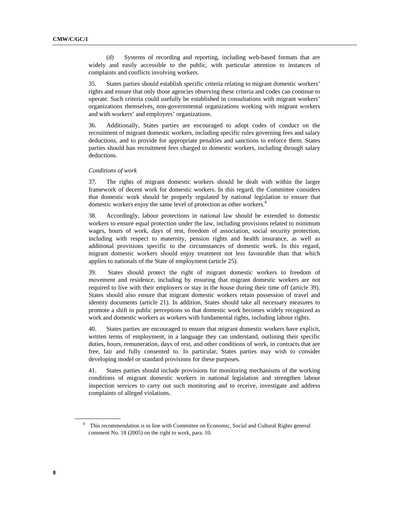(d) Systems of recording and reporting, including web-based formats that are widely and easily accessible to the public, with particular attention to instances of complaints and conflicts involving workers.

35. States parties should establish specific criteria relating to migrant domestic workers' rights and ensure that only those agencies observing these criteria and codes can continue to operate. Such criteria could usefully be established in consultations with migrant workers' organizations themselves, non-governmental organizations working with migrant workers and with workers' and employers' organizations.

36. Additionally, States parties are encouraged to adopt codes of conduct on the recruitment of migrant domestic workers, including specific rules governing fees and salary deductions, and to provide for appropriate penalties and sanctions to enforce them. States parties should ban recruitment fees charged to domestic workers, including through salary deductions.

#### *Conditions of work*

37. The rights of migrant domestic workers should be dealt with within the larger framework of decent work for domestic workers. In this regard, the Committee considers that domestic work should be properly regulated by national legislation to ensure that domestic workers enjoy the same level of protection as other workers.<sup>8</sup>

38. Accordingly, labour protections in national law should be extended to domestic workers to ensure equal protection under the law, including provisions related to minimum wages, hours of work, days of rest, freedom of association, social security protection, including with respect to maternity, pension rights and health insurance, as well as additional provisions specific to the circumstances of domestic work. In this regard, migrant domestic workers should enjoy treatment not less favourable than that which applies to nationals of the State of employment (article 25).

39. States should protect the right of migrant domestic workers to freedom of movement and residence, including by ensuring that migrant domestic workers are not required to live with their employers or stay in the house during their time off (article 39). States should also ensure that migrant domestic workers retain possession of travel and identity documents (article 21). In addition, States should take all necessary measures to promote a shift in public perceptions so that domestic work becomes widely recognized as work and domestic workers as workers with fundamental rights, including labour rights.

40. States parties are encouraged to ensure that migrant domestic workers have explicit, written terms of employment, in a language they can understand, outlining their specific duties, hours, remuneration, days of rest, and other conditions of work, in contracts that are free, fair and fully consented to. In particular, States parties may wish to consider developing model or standard provisions for these purposes.

41. States parties should include provisions for monitoring mechanisms of the working conditions of migrant domestic workers in national legislation and strengthen labour inspection services to carry out such monitoring and to receive, investigate and address complaints of alleged violations.

<sup>8</sup> This recommendation is in line with Committee on Economic, Social and Cultural Rights general comment No. 18 (2005) on the right to work, para. 10.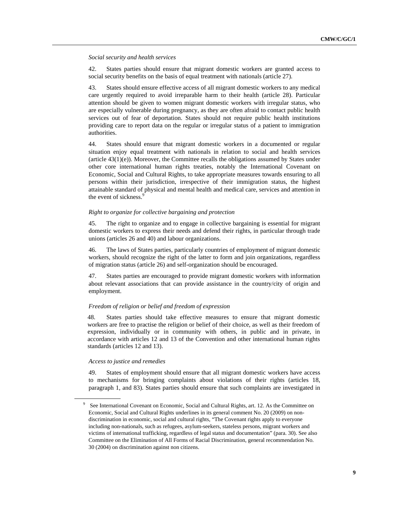*Social security and health services* 

42. States parties should ensure that migrant domestic workers are granted access to social security benefits on the basis of equal treatment with nationals (article 27).

43. States should ensure effective access of all migrant domestic workers to any medical care urgently required to avoid irreparable harm to their health (article 28). Particular attention should be given to women migrant domestic workers with irregular status, who are especially vulnerable during pregnancy, as they are often afraid to contact public health services out of fear of deportation. States should not require public health institutions providing care to report data on the regular or irregular status of a patient to immigration authorities.

44. States should ensure that migrant domestic workers in a documented or regular situation enjoy equal treatment with nationals in relation to social and health services  $(\text{article } 43(1)(e))$ . Moreover, the Committee recalls the obligations assumed by States under other core international human rights treaties, notably the International Covenant on Economic, Social and Cultural Rights, to take appropriate measures towards ensuring to all persons within their jurisdiction, irrespective of their immigration status, the highest attainable standard of physical and mental health and medical care, services and attention in the event of sickness<sup>9</sup>

#### *Right to organize for collective bargaining and protection*

45. The right to organize and to engage in collective bargaining is essential for migrant domestic workers to express their needs and defend their rights, in particular through trade unions (articles 26 and 40) and labour organizations.

46. The laws of States parties, particularly countries of employment of migrant domestic workers, should recognize the right of the latter to form and join organizations, regardless of migration status (article 26) and self-organization should be encouraged.

47. States parties are encouraged to provide migrant domestic workers with information about relevant associations that can provide assistance in the country/city of origin and employment.

#### *Freedom of religion or belief and freedom of expression*

48. States parties should take effective measures to ensure that migrant domestic workers are free to practise the religion or belief of their choice, as well as their freedom of expression, individually or in community with others, in public and in private, in accordance with articles 12 and 13 of the Convention and other international human rights standards (articles 12 and 13).

## *Access to justice and remedies*

49. States of employment should ensure that all migrant domestic workers have access to mechanisms for bringing complaints about violations of their rights (articles 18, paragraph 1, and 83). States parties should ensure that such complaints are investigated in

<sup>&</sup>lt;sup>9</sup> See International Covenant on Economic, Social and Cultural Rights, art. 12. As the Committee on Economic, Social and Cultural Rights underlines in its general comment No. 20 (2009) on nondiscrimination in economic, social and cultural rights, "The Covenant rights apply to everyone including non-nationals, such as refugees, asylum-seekers, stateless persons, migrant workers and victims of international trafficking, regardless of legal status and documentation" (para. 30). See also Committee on the Elimination of All Forms of Racial Discrimination, general recommendation No. 30 (2004) on discrimination against non citizens.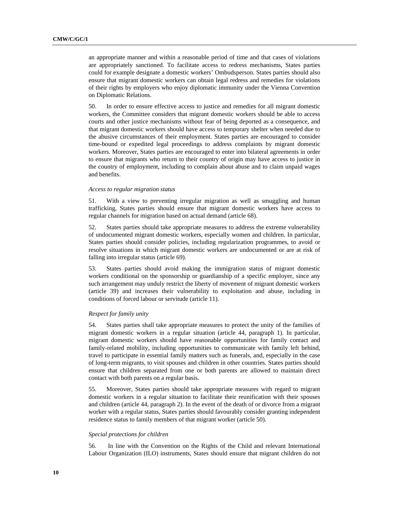an appropriate manner and within a reasonable period of time and that cases of violations are appropriately sanctioned. To facilitate access to redress mechanisms, States parties could for example designate a domestic workers' Ombudsperson. States parties should also ensure that migrant domestic workers can obtain legal redress and remedies for violations of their rights by employers who enjoy diplomatic immunity under the Vienna Convention on Diplomatic Relations.

50. In order to ensure effective access to justice and remedies for all migrant domestic workers, the Committee considers that migrant domestic workers should be able to access courts and other justice mechanisms without fear of being deported as a consequence, and that migrant domestic workers should have access to temporary shelter when needed due to the abusive circumstances of their employment. States parties are encouraged to consider time-bound or expedited legal proceedings to address complaints by migrant domestic workers. Moreover, States parties are encouraged to enter into bilateral agreements in order to ensure that migrants who return to their country of origin may have access to justice in the country of employment, including to complain about abuse and to claim unpaid wages and benefits.

#### *Access to regular migration status*

51. With a view to preventing irregular migration as well as smuggling and human trafficking, States parties should ensure that migrant domestic workers have access to regular channels for migration based on actual demand (article 68).

52. States parties should take appropriate measures to address the extreme vulnerability of undocumented migrant domestic workers, especially women and children. In particular, States parties should consider policies, including regularization programmes, to avoid or resolve situations in which migrant domestic workers are undocumented or are at risk of falling into irregular status (article 69).

53. States parties should avoid making the immigration status of migrant domestic workers conditional on the sponsorship or guardianship of a specific employer, since any such arrangement may unduly restrict the liberty of movement of migrant domestic workers (article 39) and increases their vulnerability to exploitation and abuse, including in conditions of forced labour or servitude (article 11).

## *Respect for family unity*

54. States parties shall take appropriate measures to protect the unity of the families of migrant domestic workers in a regular situation (article 44, paragraph 1). In particular, migrant domestic workers should have reasonable opportunities for family contact and family-related mobility, including opportunities to communicate with family left behind, travel to participate in essential family matters such as funerals, and, especially in the case of long-term migrants, to visit spouses and children in other countries. States parties should ensure that children separated from one or both parents are allowed to maintain direct contact with both parents on a regular basis.

55. Moreover, States parties should take appropriate measures with regard to migrant domestic workers in a regular situation to facilitate their reunification with their spouses and children (article 44, paragraph 2). In the event of the death of or divorce from a migrant worker with a regular status, States parties should favourably consider granting independent residence status to family members of that migrant worker (article 50).

## *Special protections for children*

56. In line with the Convention on the Rights of the Child and relevant International Labour Organization (ILO) instruments, States should ensure that migrant children do not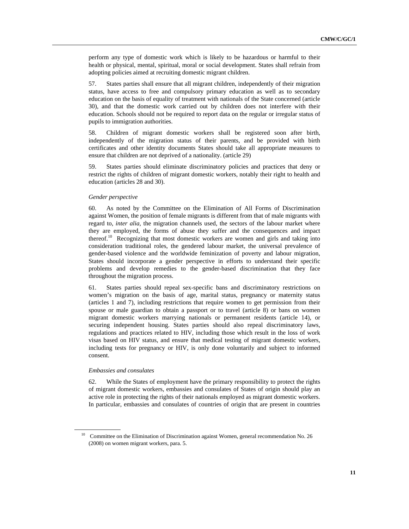perform any type of domestic work which is likely to be hazardous or harmful to their health or physical, mental, spiritual, moral or social development. States shall refrain from adopting policies aimed at recruiting domestic migrant children.

57. States parties shall ensure that all migrant children, independently of their migration status, have access to free and compulsory primary education as well as to secondary education on the basis of equality of treatment with nationals of the State concerned (article 30), and that the domestic work carried out by children does not interfere with their education. Schools should not be required to report data on the regular or irregular status of pupils to immigration authorities.

58. Children of migrant domestic workers shall be registered soon after birth, independently of the migration status of their parents, and be provided with birth certificates and other identity documents States should take all appropriate measures to ensure that children are not deprived of a nationality. (article 29)

59. States parties should eliminate discriminatory policies and practices that deny or restrict the rights of children of migrant domestic workers, notably their right to health and education (articles 28 and 30).

## *Gender perspective*

60. As noted by the Committee on the Elimination of All Forms of Discrimination against Women, the position of female migrants is different from that of male migrants with regard to, *inter alia,* the migration channels used, the sectors of the labour market where they are employed, the forms of abuse they suffer and the consequences and impact thereof.<sup>10</sup> Recognizing that most domestic workers are women and girls and taking into consideration traditional roles, the gendered labour market, the universal prevalence of gender-based violence and the worldwide feminization of poverty and labour migration, States should incorporate a gender perspective in efforts to understand their specific problems and develop remedies to the gender-based discrimination that they face throughout the migration process.

61. States parties should repeal sex-specific bans and discriminatory restrictions on women's migration on the basis of age, marital status, pregnancy or maternity status (articles 1 and 7), including restrictions that require women to get permission from their spouse or male guardian to obtain a passport or to travel (article 8) or bans on women migrant domestic workers marrying nationals or permanent residents (article 14), or securing independent housing. States parties should also repeal discriminatory laws, regulations and practices related to HIV, including those which result in the loss of work visas based on HIV status, and ensure that medical testing of migrant domestic workers, including tests for pregnancy or HIV, is only done voluntarily and subject to informed consent.

## *Embassies and consulates*

62. While the States of employment have the primary responsibility to protect the rights of migrant domestic workers, embassies and consulates of States of origin should play an active role in protecting the rights of their nationals employed as migrant domestic workers. In particular, embassies and consulates of countries of origin that are present in countries

<sup>&</sup>lt;sup>10</sup> Committee on the Elimination of Discrimination against Women, general recommendation No. 26 (2008) on women migrant workers, para. 5.